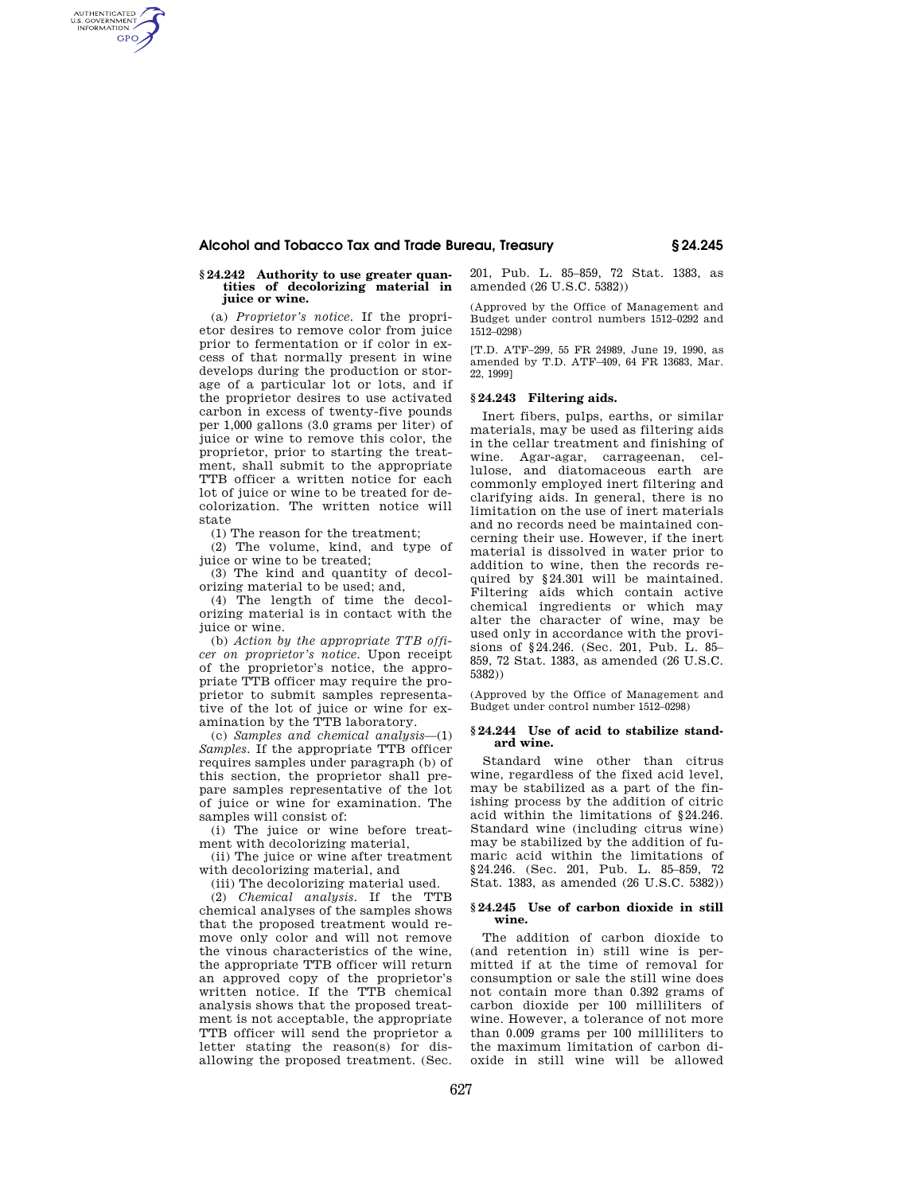# **Alcohol and Tobacco Tax and Trade Bureau, Treasury § 24.245**

### **§ 24.242 Authority to use greater quantities of decolorizing material in juice or wine.**

AUTHENTICATED<br>U.S. GOVERNMENT<br>INFORMATION **GPO** 

> (a) *Proprietor's notice.* If the proprietor desires to remove color from juice prior to fermentation or if color in excess of that normally present in wine develops during the production or storage of a particular lot or lots, and if the proprietor desires to use activated carbon in excess of twenty-five pounds per 1,000 gallons (3.0 grams per liter) of juice or wine to remove this color, the proprietor, prior to starting the treatment, shall submit to the appropriate TTB officer a written notice for each lot of juice or wine to be treated for decolorization. The written notice will state

(1) The reason for the treatment;

(2) The volume, kind, and type of juice or wine to be treated;

(3) The kind and quantity of decolorizing material to be used; and,

(4) The length of time the decolorizing material is in contact with the juice or wine.

(b) *Action by the appropriate TTB officer on proprietor's notice.* Upon receipt of the proprietor's notice, the appropriate TTB officer may require the proprietor to submit samples representative of the lot of juice or wine for examination by the TTB laboratory.

(c) *Samples and chemical analysis*—(1) *Samples.* If the appropriate TTB officer requires samples under paragraph (b) of this section, the proprietor shall prepare samples representative of the lot of juice or wine for examination. The samples will consist of:

(i) The juice or wine before treatment with decolorizing material,

(ii) The juice or wine after treatment with decolorizing material, and

(iii) The decolorizing material used.

(2) *Chemical analysis.* If the TTB chemical analyses of the samples shows that the proposed treatment would remove only color and will not remove the vinous characteristics of the wine, the appropriate TTB officer will return an approved copy of the proprietor's written notice. If the TTB chemical analysis shows that the proposed treatment is not acceptable, the appropriate TTB officer will send the proprietor a letter stating the reason(s) for disallowing the proposed treatment. (Sec.

201, Pub. L. 85–859, 72 Stat. 1383, as amended (26 U.S.C. 5382))

(Approved by the Office of Management and Budget under control numbers 1512–0292 and 1512–0298)

[T.D. ATF–299, 55 FR 24989, June 19, 1990, as amended by T.D. ATF–409, 64 FR 13683, Mar. 22, 1999]

## **§ 24.243 Filtering aids.**

Inert fibers, pulps, earths, or similar materials, may be used as filtering aids in the cellar treatment and finishing of wine. Agar-agar, carrageenan, cellulose, and diatomaceous earth are commonly employed inert filtering and clarifying aids. In general, there is no limitation on the use of inert materials and no records need be maintained concerning their use. However, if the inert material is dissolved in water prior to addition to wine, then the records required by §24.301 will be maintained. Filtering aids which contain active chemical ingredients or which may alter the character of wine, may be used only in accordance with the provisions of §24.246. (Sec. 201, Pub. L. 85– 859, 72 Stat. 1383, as amended (26 U.S.C. 5382))

(Approved by the Office of Management and Budget under control number 1512–0298)

### **§ 24.244 Use of acid to stabilize standard wine.**

Standard wine other than citrus wine, regardless of the fixed acid level, may be stabilized as a part of the finishing process by the addition of citric acid within the limitations of §24.246. Standard wine (including citrus wine) may be stabilized by the addition of fumaric acid within the limitations of §24.246. (Sec. 201, Pub. L. 85–859, 72 Stat. 1383, as amended (26 U.S.C. 5382))

#### **§ 24.245 Use of carbon dioxide in still wine.**

The addition of carbon dioxide to (and retention in) still wine is permitted if at the time of removal for consumption or sale the still wine does not contain more than 0.392 grams of carbon dioxide per 100 milliliters of wine. However, a tolerance of not more than 0.009 grams per 100 milliliters to the maximum limitation of carbon dioxide in still wine will be allowed